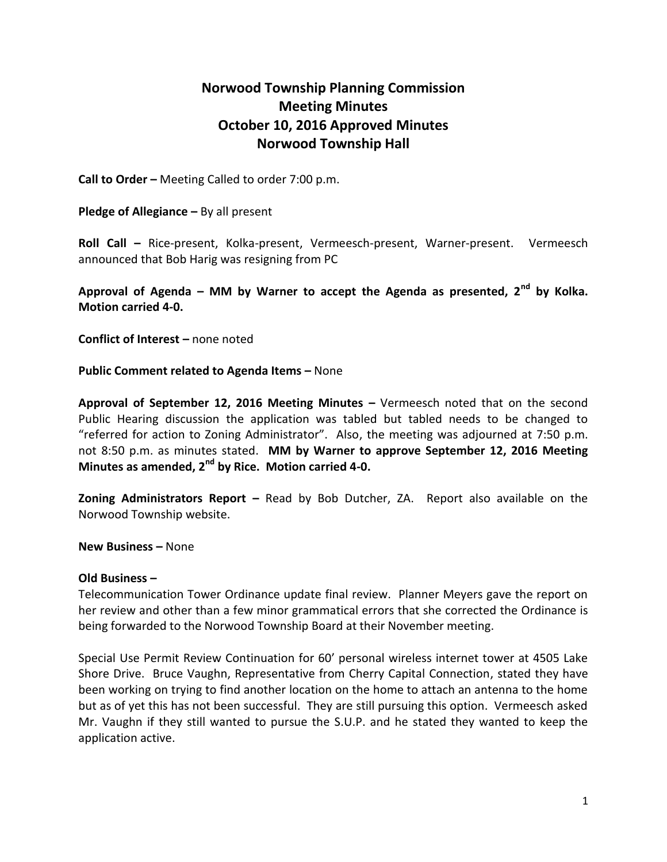## **Norwood Township Planning Commission Meeting Minutes October 10, 2016 Approved Minutes Norwood Township Hall**

**Call to Order –** Meeting Called to order 7:00 p.m.

**Pledge of Allegiance –** By all present

**Roll Call –** Rice-present, Kolka-present, Vermeesch-present, Warner-present. Vermeesch announced that Bob Harig was resigning from PC

**Approval of Agenda – MM by Warner to accept the Agenda as presented, 2nd by Kolka. Motion carried 4-0.**

**Conflict of Interest –** none noted

**Public Comment related to Agenda Items - None** 

**Approval of September 12, 2016 Meeting Minutes –** Vermeesch noted that on the second Public Hearing discussion the application was tabled but tabled needs to be changed to "referred for action to Zoning Administrator". Also, the meeting was adjourned at 7:50 p.m. not 8:50 p.m. as minutes stated. **MM by Warner to approve September 12, 2016 Meeting Minutes as amended, 2nd by Rice. Motion carried 4-0.**

**Zoning Administrators Report –** Read by Bob Dutcher, ZA. Report also available on the Norwood Township website.

**New Business –** None

## **Old Business –**

Telecommunication Tower Ordinance update final review. Planner Meyers gave the report on her review and other than a few minor grammatical errors that she corrected the Ordinance is being forwarded to the Norwood Township Board at their November meeting.

Special Use Permit Review Continuation for 60' personal wireless internet tower at 4505 Lake Shore Drive. Bruce Vaughn, Representative from Cherry Capital Connection, stated they have been working on trying to find another location on the home to attach an antenna to the home but as of yet this has not been successful. They are still pursuing this option. Vermeesch asked Mr. Vaughn if they still wanted to pursue the S.U.P. and he stated they wanted to keep the application active.